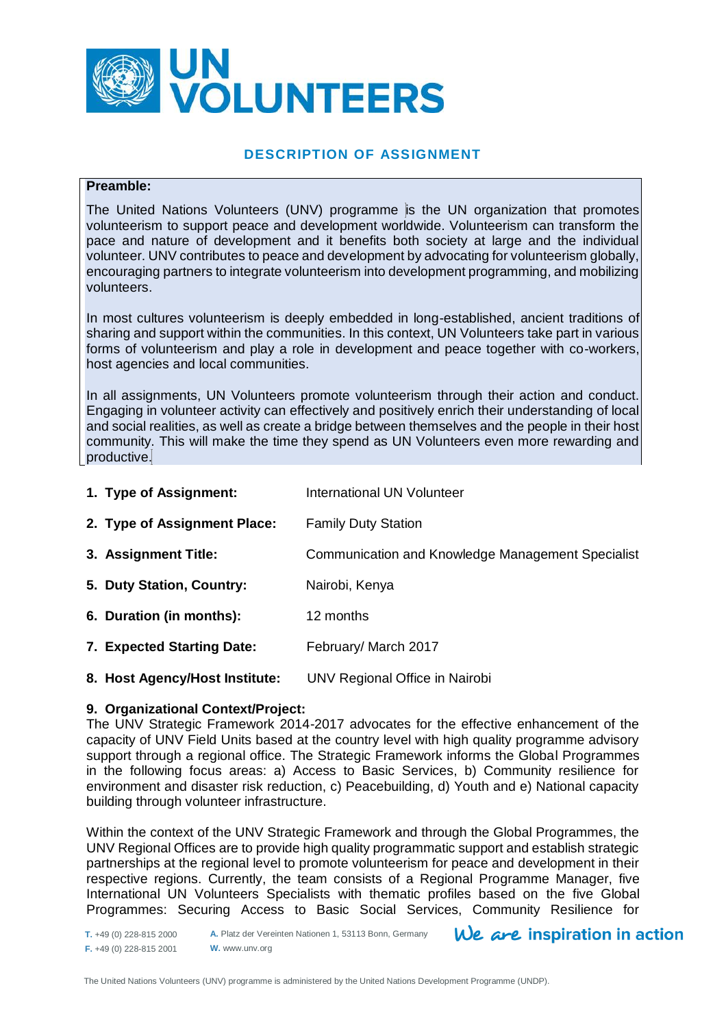

### **DESCRIPTION OF ASSIGNMENT**

#### **Preamble:**

The United Nations Volunteers (UNV) programme is the UN organization that promotes volunteerism to support peace and development worldwide. Volunteerism can transform the pace and nature of development and it benefits both society at large and the individual volunteer. UNV contributes to peace and development by advocating for volunteerism globally, encouraging partners to integrate volunteerism into development programming, and mobilizing volunteers.

In most cultures volunteerism is deeply embedded in long-established, ancient traditions of sharing and support within the communities. In this context, UN Volunteers take part in various forms of volunteerism and play a role in development and peace together with co-workers, host agencies and local communities.

In all assignments, UN Volunteers promote volunteerism through their action and conduct. Engaging in volunteer activity can effectively and positively enrich their understanding of local and social realities, as well as create a bridge between themselves and the people in their host community. This will make the time they spend as UN Volunteers even more rewarding and productive.

| 1. Type of Assignment: | International UN Volunteer |
|------------------------|----------------------------|
|------------------------|----------------------------|

- **2. Type of Assignment Place:** Family Duty Station
- **3. Assignment Title:** Communication and Knowledge Management Specialist
- **5. Duty Station, Country:** Nairobi, Kenya
- **6. Duration (in months):** 12 months
- **7. Expected Starting Date:** February/ March 2017
- **8. Host Agency/Host Institute:** UNV Regional Office in Nairobi

#### **9. Organizational Context/Project:**

The UNV Strategic Framework 2014-2017 advocates for the effective enhancement of the capacity of UNV Field Units based at the country level with high quality programme advisory support through a regional office. The Strategic Framework informs the Global Programmes in the following focus areas: a) Access to Basic Services, b) Community resilience for environment and disaster risk reduction, c) Peacebuilding, d) Youth and e) National capacity building through volunteer infrastructure.

Within the context of the UNV Strategic Framework and through the Global Programmes, the UNV Regional Offices are to provide high quality programmatic support and establish strategic partnerships at the regional level to promote volunteerism for peace and development in their respective regions. Currently, the team consists of a Regional Programme Manager, five International UN Volunteers Specialists with thematic profiles based on the five Global Programmes: Securing Access to Basic Social Services, Community Resilience for

 $We$  are inspiration in action

The United Nations Volunteers (UNV) programme is administered by the United Nations Development Programme (UNDP).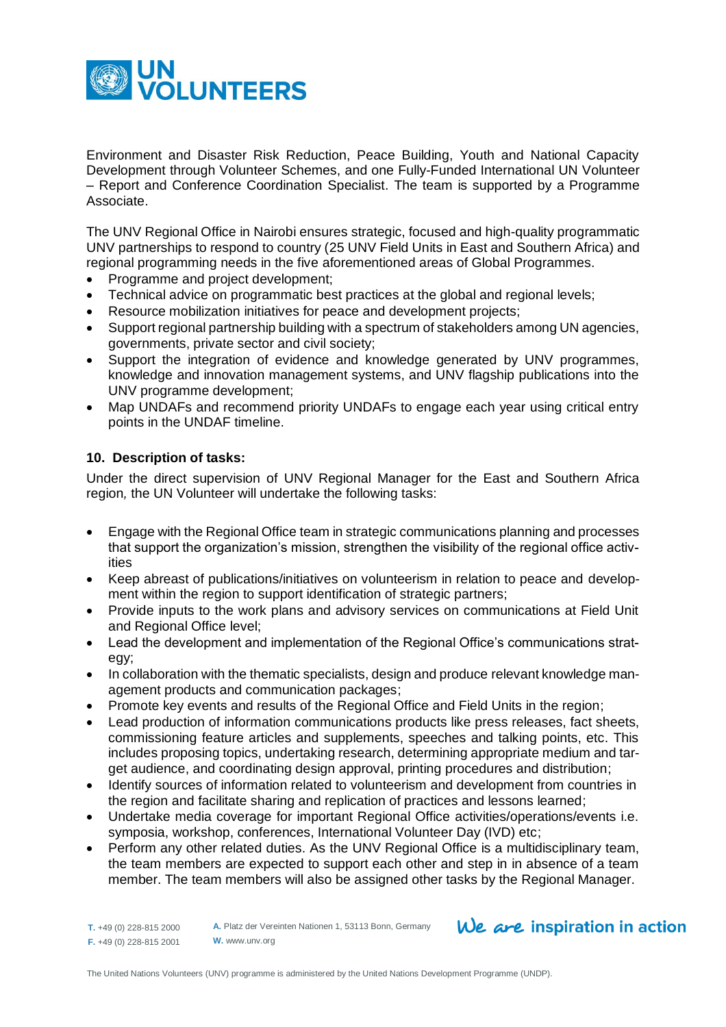

Environment and Disaster Risk Reduction, Peace Building, Youth and National Capacity Development through Volunteer Schemes, and one Fully-Funded International UN Volunteer – Report and Conference Coordination Specialist. The team is supported by a Programme Associate.

The UNV Regional Office in Nairobi ensures strategic, focused and high-quality programmatic UNV partnerships to respond to country (25 UNV Field Units in East and Southern Africa) and regional programming needs in the five aforementioned areas of Global Programmes.

- Programme and project development;
- Technical advice on programmatic best practices at the global and regional levels;
- Resource mobilization initiatives for peace and development projects;
- Support regional partnership building with a spectrum of stakeholders among UN agencies, governments, private sector and civil society;
- Support the integration of evidence and knowledge generated by UNV programmes, knowledge and innovation management systems, and UNV flagship publications into the UNV programme development;
- Map UNDAFs and recommend priority UNDAFs to engage each year using critical entry points in the UNDAF timeline.

# **10. Description of tasks:**

Under the direct supervision of UNV Regional Manager for the East and Southern Africa region*,* the UN Volunteer will undertake the following tasks:

- Engage with the Regional Office team in strategic communications planning and processes that support the organization's mission, strengthen the visibility of the regional office activities
- Keep abreast of publications/initiatives on volunteerism in relation to peace and development within the region to support identification of strategic partners;
- Provide inputs to the work plans and advisory services on communications at Field Unit and Regional Office level;
- Lead the development and implementation of the Regional Office's communications strategy;
- In collaboration with the thematic specialists, design and produce relevant knowledge management products and communication packages;
- Promote key events and results of the Regional Office and Field Units in the region;
- Lead production of information communications products like press releases, fact sheets, commissioning feature articles and supplements, speeches and talking points, etc. This includes proposing topics, undertaking research, determining appropriate medium and target audience, and coordinating design approval, printing procedures and distribution;
- Identify sources of information related to volunteerism and development from countries in the region and facilitate sharing and replication of practices and lessons learned;
- Undertake media coverage for important Regional Office activities/operations/events i.e. symposia, workshop, conferences, International Volunteer Day (IVD) etc;
- Perform any other related duties. As the UNV Regional Office is a multidisciplinary team, the team members are expected to support each other and step in in absence of a team member. The team members will also be assigned other tasks by the Regional Manager.

|  | <b>T.</b> $+49(0)$ 228-815 2000 |  |
|--|---------------------------------|--|
|  | <b>F.</b> $+49(0)$ 228-815 2001 |  |

**A.** Platz der Vereinten Nationen 1, 53113 Bonn, Germany **W.** www.unv.org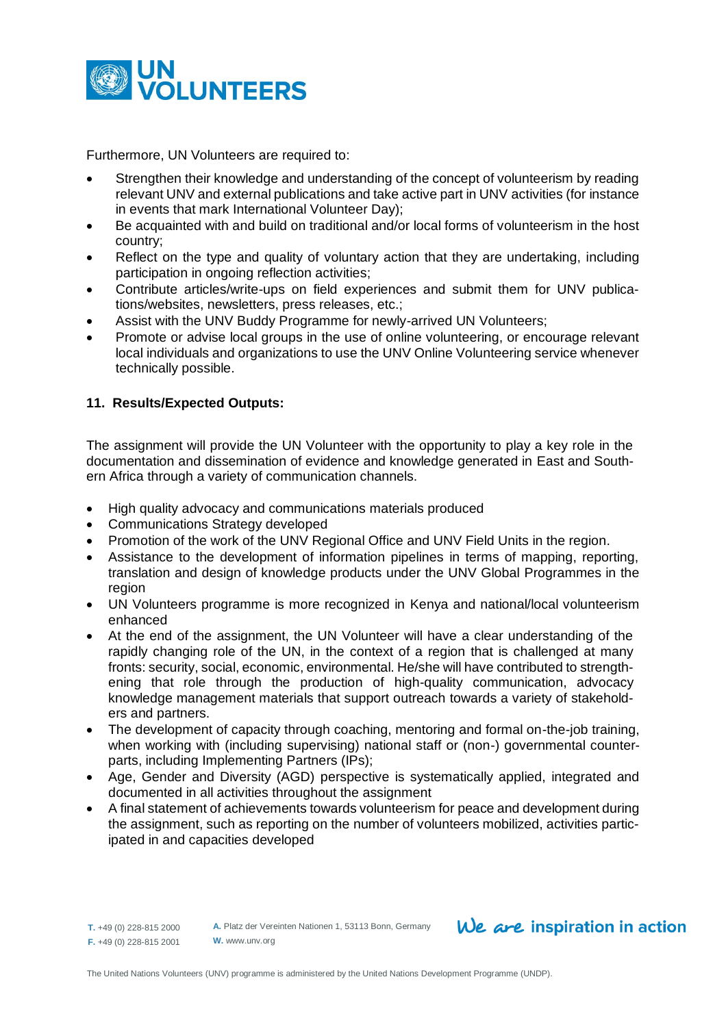

Furthermore, UN Volunteers are required to:

- Strengthen their knowledge and understanding of the concept of volunteerism by reading relevant UNV and external publications and take active part in UNV activities (for instance in events that mark International Volunteer Day);
- Be acquainted with and build on traditional and/or local forms of volunteerism in the host country;
- Reflect on the type and quality of voluntary action that they are undertaking, including participation in ongoing reflection activities;
- Contribute articles/write-ups on field experiences and submit them for UNV publications/websites, newsletters, press releases, etc.;
- Assist with the UNV Buddy Programme for newly-arrived UN Volunteers;
- Promote or advise local groups in the use of online volunteering, or encourage relevant local individuals and organizations to use the UNV Online Volunteering service whenever technically possible.

# **11. Results/Expected Outputs:**

The assignment will provide the UN Volunteer with the opportunity to play a key role in the documentation and dissemination of evidence and knowledge generated in East and Southern Africa through a variety of communication channels.

- High quality advocacy and communications materials produced
- Communications Strategy developed
- Promotion of the work of the UNV Regional Office and UNV Field Units in the region.
- Assistance to the development of information pipelines in terms of mapping, reporting, translation and design of knowledge products under the UNV Global Programmes in the region
- UN Volunteers programme is more recognized in Kenya and national/local volunteerism enhanced
- At the end of the assignment, the UN Volunteer will have a clear understanding of the rapidly changing role of the UN, in the context of a region that is challenged at many fronts: security, social, economic, environmental. He/she will have contributed to strengthening that role through the production of high-quality communication, advocacy knowledge management materials that support outreach towards a variety of stakeholders and partners.
- The development of capacity through coaching, mentoring and formal on-the-job training, when working with (including supervising) national staff or (non-) governmental counterparts, including Implementing Partners (IPs);
- Age, Gender and Diversity (AGD) perspective is systematically applied, integrated and documented in all activities throughout the assignment
- A final statement of achievements towards volunteerism for peace and development during the assignment, such as reporting on the number of volunteers mobilized, activities participated in and capacities developed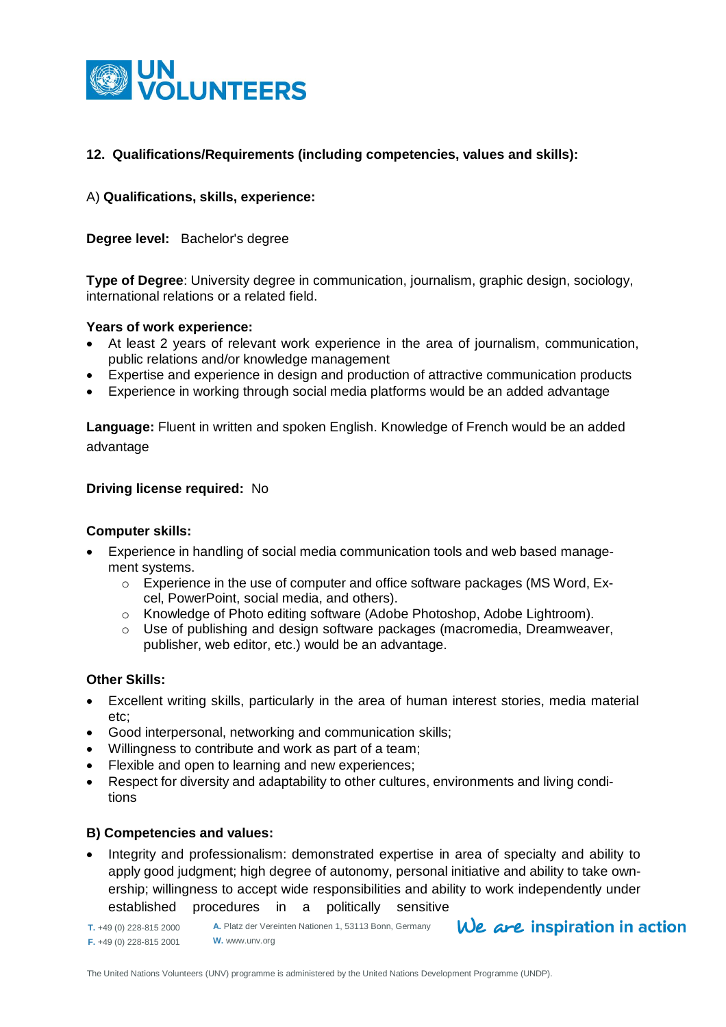

# **12. Qualifications/Requirements (including competencies, values and skills):**

# A) **Qualifications, skills, experience:**

**Degree level:** Bachelor's degree

**Type of Degree**: University degree in communication, journalism, graphic design, sociology, international relations or a related field.

#### **Years of work experience:**

- At least 2 years of relevant work experience in the area of journalism, communication, public relations and/or knowledge management
- Expertise and experience in design and production of attractive communication products
- Experience in working through social media platforms would be an added advantage

**Language:** Fluent in written and spoken English. Knowledge of French would be an added advantage

#### **Driving license required:** No

#### **Computer skills:**

- Experience in handling of social media communication tools and web based management systems.
	- $\circ$  Experience in the use of computer and office software packages (MS Word, Excel, PowerPoint, social media, and others).
	- o Knowledge of Photo editing software (Adobe Photoshop, Adobe Lightroom).
	- $\circ$  Use of publishing and design software packages (macromedia, Dreamweaver, publisher, web editor, etc.) would be an advantage.

#### **Other Skills:**

- Excellent writing skills, particularly in the area of human interest stories, media material etc;
- Good interpersonal, networking and communication skills;
- Willingness to contribute and work as part of a team;
- Flexible and open to learning and new experiences;
- Respect for diversity and adaptability to other cultures, environments and living conditions

#### **B) Competencies and values:**

 Integrity and professionalism: demonstrated expertise in area of specialty and ability to apply good judgment; high degree of autonomy, personal initiative and ability to take ownership; willingness to accept wide responsibilities and ability to work independently under established procedures in a politically sensitive

We are inspiration in action **A.** Platz der Vereinten Nationen 1, 53113 Bonn, Germany **T.** +49 (0) 228-815 2000 **F.** +49 (0) 228-815 2001 **W.** www.unv.org

The United Nations Volunteers (UNV) programme is administered by the United Nations Development Programme (UNDP).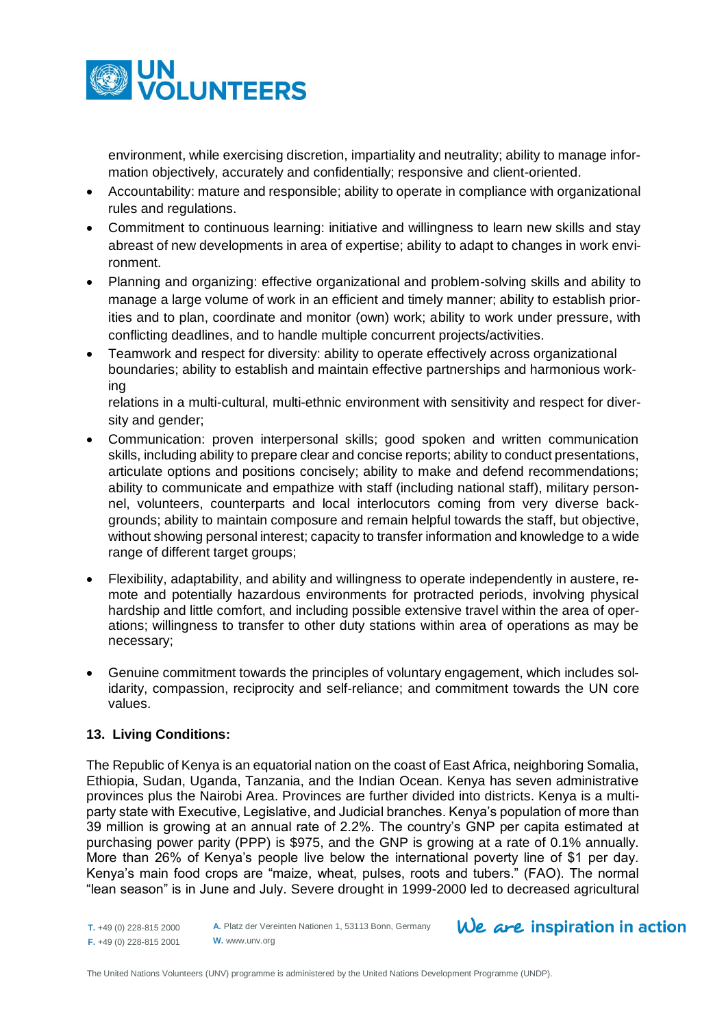

environment, while exercising discretion, impartiality and neutrality; ability to manage information objectively, accurately and confidentially; responsive and client-oriented.

- Accountability: mature and responsible; ability to operate in compliance with organizational rules and regulations.
- Commitment to continuous learning: initiative and willingness to learn new skills and stay abreast of new developments in area of expertise; ability to adapt to changes in work environment.
- Planning and organizing: effective organizational and problem-solving skills and ability to manage a large volume of work in an efficient and timely manner; ability to establish priorities and to plan, coordinate and monitor (own) work; ability to work under pressure, with conflicting deadlines, and to handle multiple concurrent projects/activities.
- Teamwork and respect for diversity: ability to operate effectively across organizational boundaries; ability to establish and maintain effective partnerships and harmonious working

relations in a multi-cultural, multi-ethnic environment with sensitivity and respect for diversity and gender;

- Communication: proven interpersonal skills; good spoken and written communication skills, including ability to prepare clear and concise reports; ability to conduct presentations, articulate options and positions concisely; ability to make and defend recommendations; ability to communicate and empathize with staff (including national staff), military personnel, volunteers, counterparts and local interlocutors coming from very diverse backgrounds; ability to maintain composure and remain helpful towards the staff, but objective, without showing personal interest; capacity to transfer information and knowledge to a wide range of different target groups;
- Flexibility, adaptability, and ability and willingness to operate independently in austere, remote and potentially hazardous environments for protracted periods, involving physical hardship and little comfort, and including possible extensive travel within the area of operations; willingness to transfer to other duty stations within area of operations as may be necessary;
- Genuine commitment towards the principles of voluntary engagement, which includes solidarity, compassion, reciprocity and self-reliance; and commitment towards the UN core values.

# **13. Living Conditions:**

The Republic of Kenya is an equatorial nation on the coast of East Africa, neighboring Somalia, Ethiopia, Sudan, Uganda, Tanzania, and the Indian Ocean. Kenya has seven administrative provinces plus the Nairobi Area. Provinces are further divided into districts. Kenya is a multiparty state with Executive, Legislative, and Judicial branches. Kenya's population of more than 39 million is growing at an annual rate of 2.2%. The country's GNP per capita estimated at purchasing power parity (PPP) is \$975, and the GNP is growing at a rate of 0.1% annually. More than 26% of Kenya's people live below the international poverty line of \$1 per day. Kenya's main food crops are "maize, wheat, pulses, roots and tubers." (FAO). The normal "lean season" is in June and July. Severe drought in 1999-2000 led to decreased agricultural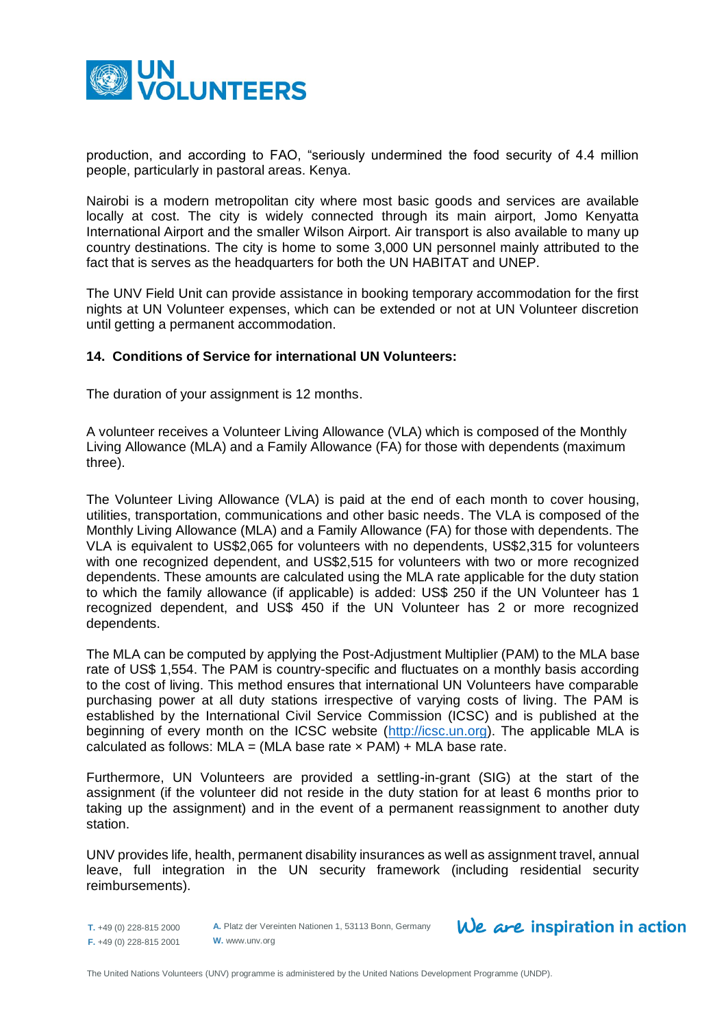

production, and according to FAO, "seriously undermined the food security of 4.4 million people, particularly in pastoral areas. Kenya.

Nairobi is a modern metropolitan city where most basic goods and services are available locally at cost. The city is widely connected through its main airport, Jomo Kenyatta International Airport and the smaller Wilson Airport. Air transport is also available to many up country destinations. The city is home to some 3,000 UN personnel mainly attributed to the fact that is serves as the headquarters for both the UN HABITAT and UNEP.

The UNV Field Unit can provide assistance in booking temporary accommodation for the first nights at UN Volunteer expenses, which can be extended or not at UN Volunteer discretion until getting a permanent accommodation.

#### **14. Conditions of Service for international UN Volunteers:**

The duration of your assignment is 12 months.

A volunteer receives a Volunteer Living Allowance (VLA) which is composed of the Monthly Living Allowance (MLA) and a Family Allowance (FA) for those with dependents (maximum three).

The Volunteer Living Allowance (VLA) is paid at the end of each month to cover housing, utilities, transportation, communications and other basic needs. The VLA is composed of the Monthly Living Allowance (MLA) and a Family Allowance (FA) for those with dependents. The VLA is equivalent to US\$2,065 for volunteers with no dependents, US\$2,315 for volunteers with one recognized dependent, and US\$2,515 for volunteers with two or more recognized dependents. These amounts are calculated using the MLA rate applicable for the duty station to which the family allowance (if applicable) is added: US\$ 250 if the UN Volunteer has 1 recognized dependent, and US\$ 450 if the UN Volunteer has 2 or more recognized dependents.

The MLA can be computed by applying the Post-Adjustment Multiplier (PAM) to the MLA base rate of US\$ 1,554. The PAM is country-specific and fluctuates on a monthly basis according to the cost of living. This method ensures that international UN Volunteers have comparable purchasing power at all duty stations irrespective of varying costs of living. The PAM is established by the International Civil Service Commission (ICSC) and is published at the beginning of every month on the ICSC website [\(http://icsc.un.org\)](http://icsc.un.org/). The applicable MLA is calculated as follows:  $MLA = (MLA \text{ base rate} \times PAM) + MLA \text{ base rate}.$ 

Furthermore, UN Volunteers are provided a settling-in-grant (SIG) at the start of the assignment (if the volunteer did not reside in the duty station for at least 6 months prior to taking up the assignment) and in the event of a permanent reassignment to another duty station.

UNV provides life, health, permanent disability insurances as well as assignment travel, annual leave, full integration in the UN security framework (including residential security reimbursements).

**T.** +49 (0) 228-815 2000 **F.** +49 (0) 228-815 2001

**A.** Platz der Vereinten Nationen 1, 53113 Bonn, Germany **W.** www.unv.org